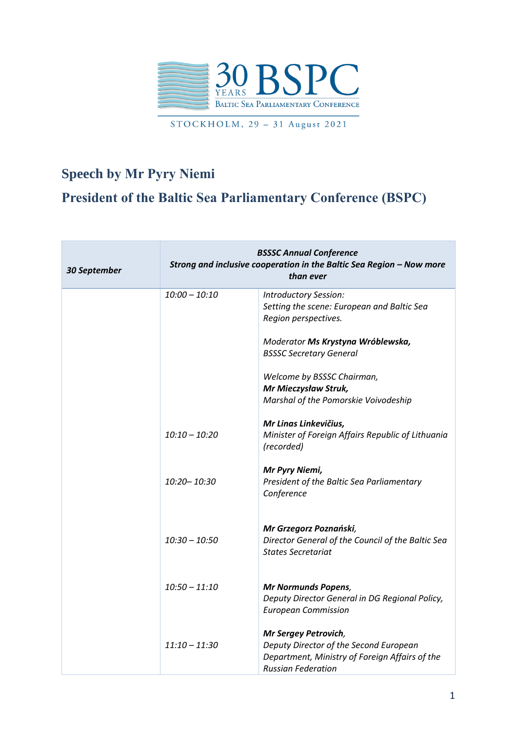

STOCKHOLM, 29 - 31 August 2021

## **Speech by Mr Pyry Niemi President of the Baltic Sea Parliamentary Conference (BSPC)**

| 30 September | <b>BSSSC Annual Conference</b><br>Strong and inclusive cooperation in the Baltic Sea Region - Now more<br>than ever |                                                                                                                                               |
|--------------|---------------------------------------------------------------------------------------------------------------------|-----------------------------------------------------------------------------------------------------------------------------------------------|
|              | $10:00 - 10:10$                                                                                                     | Introductory Session:<br>Setting the scene: European and Baltic Sea<br>Region perspectives.                                                   |
|              |                                                                                                                     | Moderator Ms Krystyna Wróblewska,<br><b>BSSSC Secretary General</b>                                                                           |
|              |                                                                                                                     | Welcome by BSSSC Chairman,<br>Mr Mieczysław Struk,<br>Marshal of the Pomorskie Voivodeship                                                    |
|              | $10:10 - 10:20$                                                                                                     | Mr Linas Linkevičius,<br>Minister of Foreign Affairs Republic of Lithuania<br>(recorded)                                                      |
|              | $10:20 - 10:30$                                                                                                     | Mr Pyry Niemi,<br>President of the Baltic Sea Parliamentary<br>Conference                                                                     |
|              | $10:30 - 10:50$                                                                                                     | Mr Grzegorz Poznański,<br>Director General of the Council of the Baltic Sea<br><b>States Secretariat</b>                                      |
|              | $10:50 - 11:10$                                                                                                     | <b>Mr Normunds Popens,</b><br>Deputy Director General in DG Regional Policy,<br><b>European Commission</b>                                    |
|              | 11:10 – 11:30                                                                                                       | Mr Sergey Petrovich,<br>Deputy Director of the Second European<br>Department, Ministry of Foreign Affairs of the<br><b>Russian Federation</b> |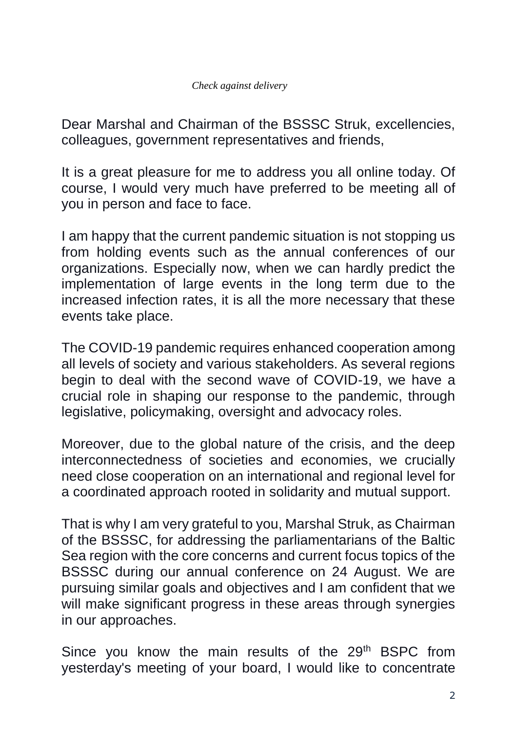Dear Marshal and Chairman of the BSSSC Struk, excellencies, colleagues, government representatives and friends,

It is a great pleasure for me to address you all online today. Of course, I would very much have preferred to be meeting all of you in person and face to face.

I am happy that the current pandemic situation is not stopping us from holding events such as the annual conferences of our organizations. Especially now, when we can hardly predict the implementation of large events in the long term due to the increased infection rates, it is all the more necessary that these events take place.

The COVID-19 pandemic requires enhanced cooperation among all levels of society and various stakeholders. As several regions begin to deal with the second wave of COVID-19, we have a crucial role in shaping our response to the pandemic, through legislative, policymaking, oversight and advocacy roles.

Moreover, due to the global nature of the crisis, and the deep interconnectedness of societies and economies, we crucially need close cooperation on an international and regional level for a coordinated approach rooted in solidarity and mutual support.

That is why I am very grateful to you, Marshal Struk, as Chairman of the BSSSC, for addressing the parliamentarians of the Baltic Sea region with the core concerns and current focus topics of the BSSSC during our annual conference on 24 August. We are pursuing similar goals and objectives and I am confident that we will make significant progress in these areas through synergies in our approaches.

Since you know the main results of the 29<sup>th</sup> BSPC from yesterday's meeting of your board, I would like to concentrate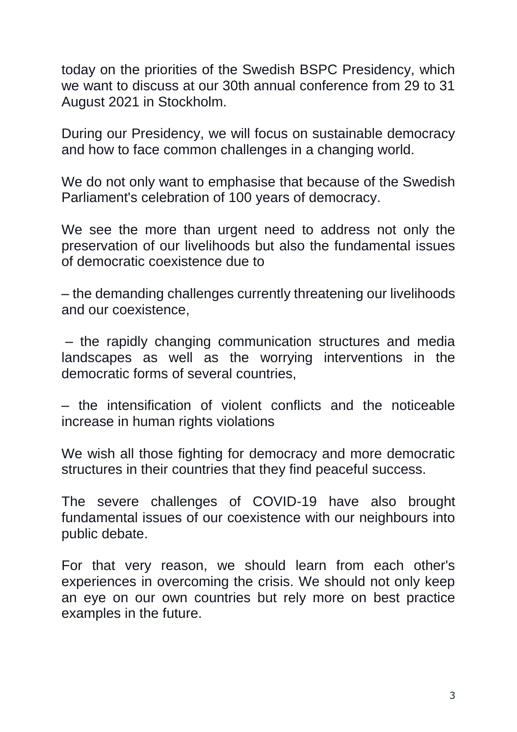today on the priorities of the Swedish BSPC Presidency, which we want to discuss at our 30th annual conference from 29 to 31 August 2021 in Stockholm.

During our Presidency, we will focus on sustainable democracy and how to face common challenges in a changing world.

We do not only want to emphasise that because of the Swedish Parliament's celebration of 100 years of democracy.

We see the more than urgent need to address not only the preservation of our livelihoods but also the fundamental issues of democratic coexistence due to

– the demanding challenges currently threatening our livelihoods and our coexistence,

– the rapidly changing communication structures and media landscapes as well as the worrying interventions in the democratic forms of several countries,

– the intensification of violent conflicts and the noticeable increase in human rights violations

We wish all those fighting for democracy and more democratic structures in their countries that they find peaceful success.

The severe challenges of COVID-19 have also brought fundamental issues of our coexistence with our neighbours into public debate.

For that very reason, we should learn from each other's experiences in overcoming the crisis. We should not only keep an eye on our own countries but rely more on best practice examples in the future.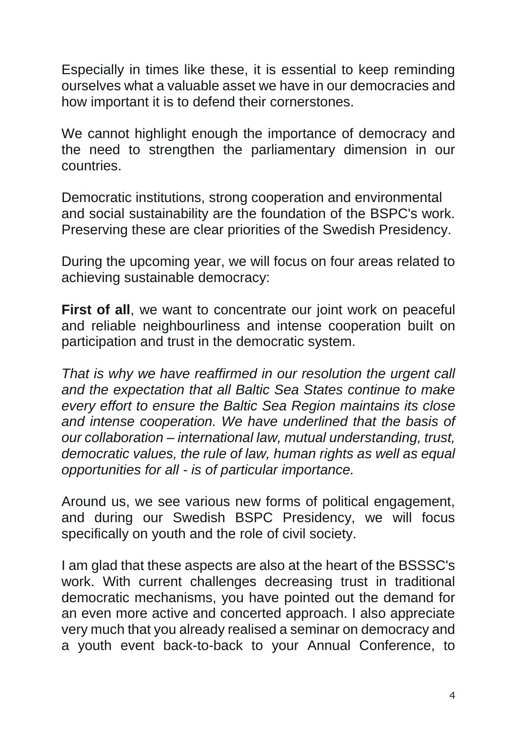Especially in times like these, it is essential to keep reminding ourselves what a valuable asset we have in our democracies and how important it is to defend their cornerstones.

We cannot highlight enough the importance of democracy and the need to strengthen the parliamentary dimension in our countries.

Democratic institutions, strong cooperation and environmental and social sustainability are the foundation of the BSPC's work. Preserving these are clear priorities of the Swedish Presidency.

During the upcoming year, we will focus on four areas related to achieving sustainable democracy:

**First of all**, we want to concentrate our joint work on peaceful and reliable neighbourliness and intense cooperation built on participation and trust in the democratic system.

*That is why we have reaffirmed in our resolution the urgent call and the expectation that all Baltic Sea States continue to make every effort to ensure the Baltic Sea Region maintains its close and intense cooperation. We have underlined that the basis of our collaboration – international law, mutual understanding, trust, democratic values, the rule of law, human rights as well as equal opportunities for all - is of particular importance.*

Around us, we see various new forms of political engagement, and during our Swedish BSPC Presidency, we will focus specifically on youth and the role of civil society.

I am glad that these aspects are also at the heart of the BSSSC's work. With current challenges decreasing trust in traditional democratic mechanisms, you have pointed out the demand for an even more active and concerted approach. I also appreciate very much that you already realised a seminar on democracy and a youth event back-to-back to your Annual Conference, to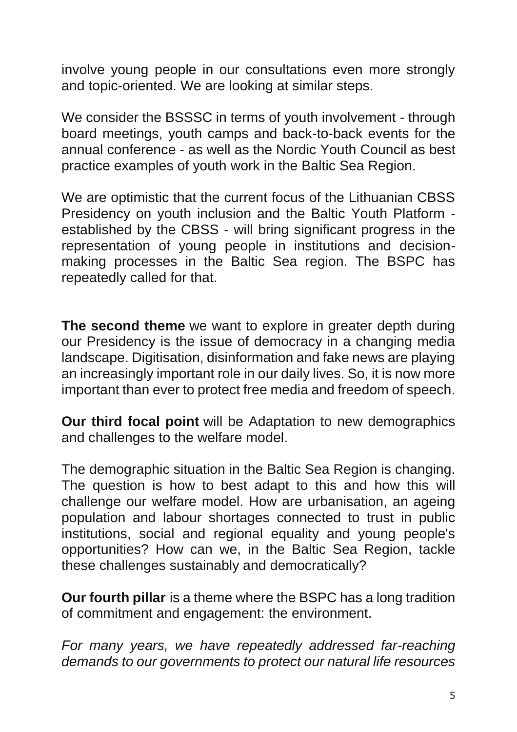involve young people in our consultations even more strongly and topic-oriented. We are looking at similar steps.

We consider the BSSSC in terms of youth involvement - through board meetings, youth camps and back-to-back events for the annual conference - as well as the Nordic Youth Council as best practice examples of youth work in the Baltic Sea Region.

We are optimistic that the current focus of the Lithuanian CBSS Presidency on youth inclusion and the Baltic Youth Platform established by the CBSS - will bring significant progress in the representation of young people in institutions and decisionmaking processes in the Baltic Sea region. The BSPC has repeatedly called for that.

**The second theme** we want to explore in greater depth during our Presidency is the issue of democracy in a changing media landscape. Digitisation, disinformation and fake news are playing an increasingly important role in our daily lives. So, it is now more important than ever to protect free media and freedom of speech.

**Our third focal point** will be Adaptation to new demographics and challenges to the welfare model.

The demographic situation in the Baltic Sea Region is changing. The question is how to best adapt to this and how this will challenge our welfare model. How are urbanisation, an ageing population and labour shortages connected to trust in public institutions, social and regional equality and young people's opportunities? How can we, in the Baltic Sea Region, tackle these challenges sustainably and democratically?

**Our fourth pillar** is a theme where the BSPC has a long tradition of commitment and engagement: the environment.

*For many years, we have repeatedly addressed far-reaching demands to our governments to protect our natural life resources*